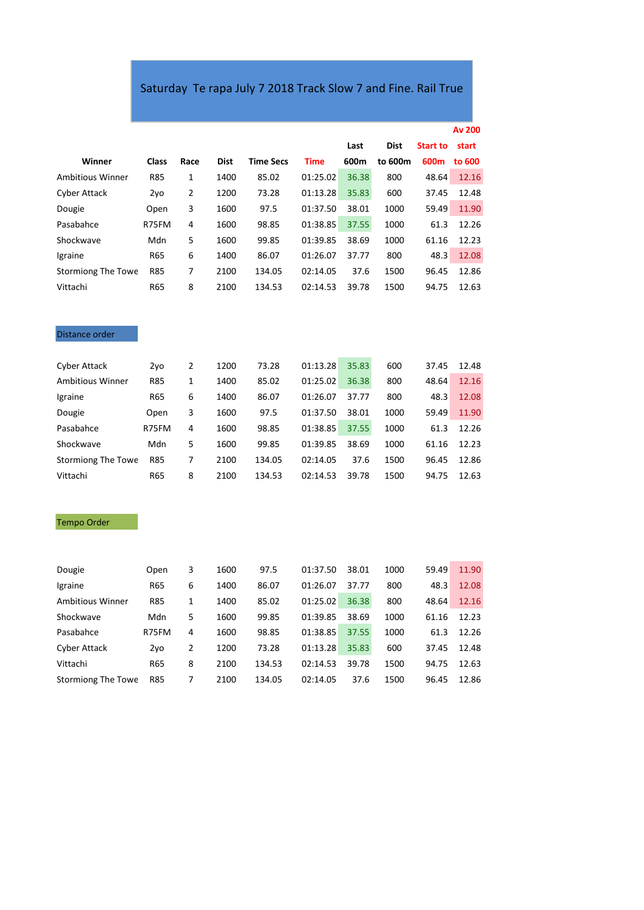## Saturday Te rapa July 7 2018 Track Slow 7 and Fine. Rail True

|                           |              |      |             |                  |             |       |             |                 | <b>Av 200</b> |
|---------------------------|--------------|------|-------------|------------------|-------------|-------|-------------|-----------------|---------------|
|                           |              |      |             |                  |             | Last  | <b>Dist</b> | <b>Start to</b> | start         |
| Winner                    | <b>Class</b> | Race | <b>Dist</b> | <b>Time Secs</b> | <b>Time</b> | 600m  | to 600m     | 600m            | to 600        |
| <b>Ambitious Winner</b>   | <b>R85</b>   | 1    | 1400        | 85.02            | 01:25.02    | 36.38 | 800         | 48.64           | 12.16         |
| <b>Cyber Attack</b>       | 2yo          | 2    | 1200        | 73.28            | 01:13.28    | 35.83 | 600         | 37.45           | 12.48         |
| Dougie                    | Open         | 3    | 1600        | 97.5             | 01:37.50    | 38.01 | 1000        | 59.49           | 11.90         |
| Pasabahce                 | R75FM        | 4    | 1600        | 98.85            | 01:38.85    | 37.55 | 1000        | 61.3            | 12.26         |
| Shockwave                 | Mdn          | 5    | 1600        | 99.85            | 01:39.85    | 38.69 | 1000        | 61.16           | 12.23         |
| Igraine                   | R65          | 6    | 1400        | 86.07            | 01:26.07    | 37.77 | 800         | 48.3            | 12.08         |
| <b>Stormiong The Towe</b> | <b>R85</b>   | 7    | 2100        | 134.05           | 02:14.05    | 37.6  | 1500        | 96.45           | 12.86         |
| Vittachi                  | R65          | 8    | 2100        | 134.53           | 02:14.53    | 39.78 | 1500        | 94.75           | 12.63         |

## Distance order

| 2vo        | 2 | 1200 | 73.28  | 01:13.28 | 35.83 | 600  | 37.45 | 12.48 |
|------------|---|------|--------|----------|-------|------|-------|-------|
| <b>R85</b> | 1 | 1400 | 85.02  | 01:25.02 | 36.38 | 800  | 48.64 | 12.16 |
| R65        | 6 | 1400 | 86.07  | 01:26.07 | 37.77 | 800  | 48.3  | 12.08 |
| Open       | 3 | 1600 | 97.5   | 01:37.50 | 38.01 | 1000 | 59.49 | 11.90 |
| R75FM      | 4 | 1600 | 98.85  | 01:38.85 | 37.55 | 1000 | 61.3  | 12.26 |
| Mdn        | 5 | 1600 | 99.85  | 01:39.85 | 38.69 | 1000 | 61.16 | 12.23 |
| <b>R85</b> | 7 | 2100 | 134.05 | 02:14.05 | 37.6  | 1500 | 96.45 | 12.86 |
| R65        | 8 | 2100 | 134.53 | 02:14.53 | 39.78 | 1500 | 94.75 | 12.63 |
|            |   |      |        |          |       |      |       |       |

## Tempo Order

| Dougie                  | Open       | 3 | 1600 | 97.5   | 01:37.50 | 38.01 | 1000 | 59.49 | 11.90 |
|-------------------------|------------|---|------|--------|----------|-------|------|-------|-------|
| Igraine                 | <b>R65</b> | 6 | 1400 | 86.07  | 01:26.07 | 37.77 | 800  | 48.3  | 12.08 |
| <b>Ambitious Winner</b> | <b>R85</b> |   | 1400 | 85.02  | 01:25.02 | 36.38 | 800  | 48.64 | 12.16 |
| Shockwave               | Mdn        | 5 | 1600 | 99.85  | 01:39.85 | 38.69 | 1000 | 61.16 | 12.23 |
| Pasabahce               | R75FM      | 4 | 1600 | 98.85  | 01:38.85 | 37.55 | 1000 | 61.3  | 12.26 |
| Cyber Attack            | 2vo        | 2 | 1200 | 73.28  | 01:13.28 | 35.83 | 600  | 37.45 | 12.48 |
| Vittachi                | <b>R65</b> | 8 | 2100 | 134.53 | 02:14.53 | 39.78 | 1500 | 94.75 | 12.63 |
| Stormiong The Towe      | <b>R85</b> | 7 | 2100 | 134.05 | 02:14.05 | 37.6  | 1500 | 96.45 | 12.86 |
|                         |            |   |      |        |          |       |      |       |       |